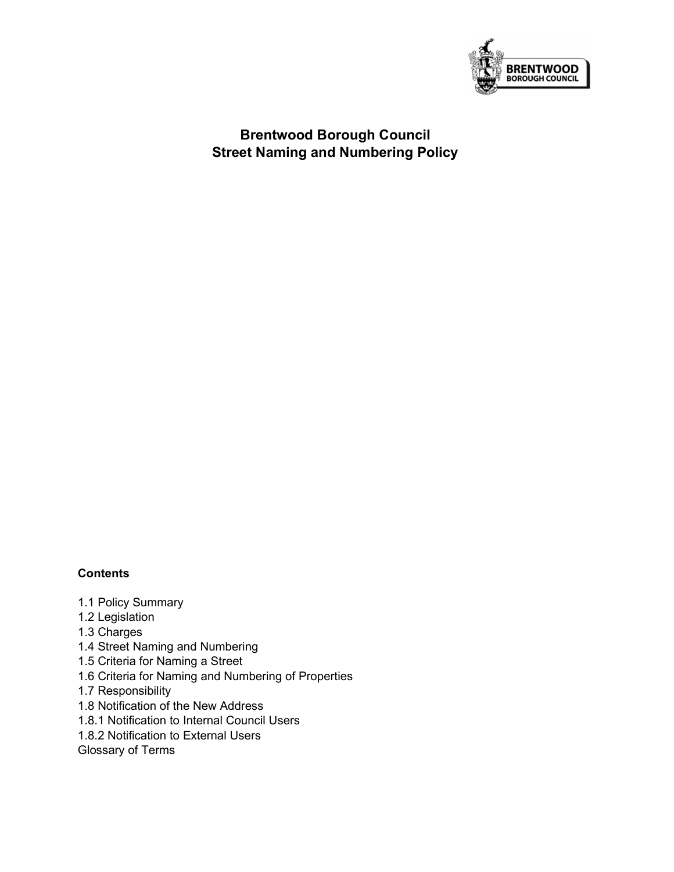

# Brentwood Borough Council Street Naming and Numbering Policy

## **Contents**

- 1.1 Policy Summary
- 1.2 Legislation
- 1.3 Charges
- 1.4 Street Naming and Numbering
- 1.5 Criteria for Naming a Street
- 1.6 Criteria for Naming and Numbering of Properties
- 1.7 Responsibility
- 1.8 Notification of the New Address
- 1.8.1 Notification to Internal Council Users
- 1.8.2 Notification to External Users

Glossary of Terms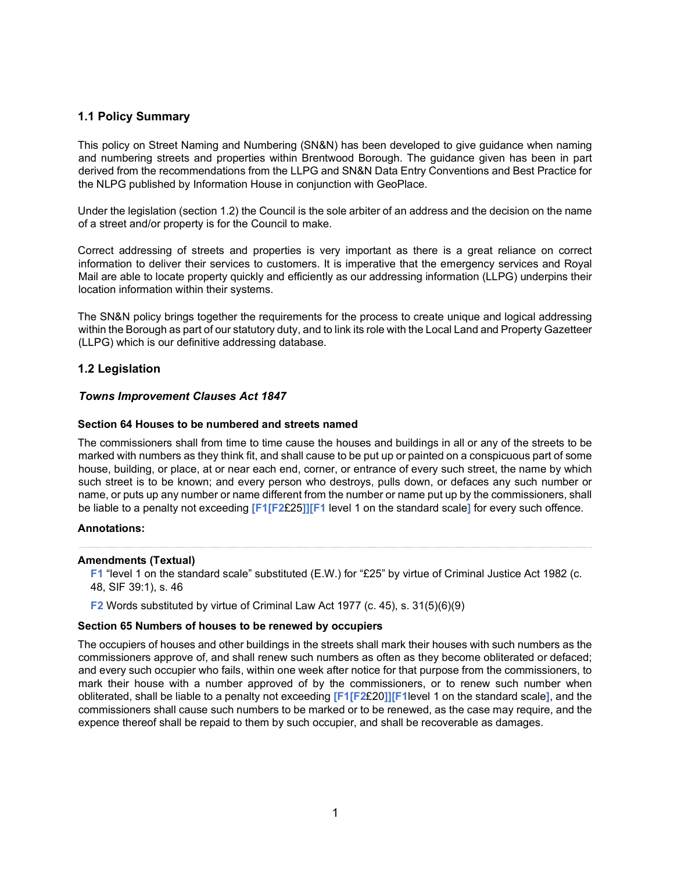## 1.1 Policy Summary

 This policy on Street Naming and Numbering (SN&N) has been developed to give guidance when naming and numbering streets and properties within Brentwood Borough. The guidance given has been in part derived from the recommendations from the LLPG and SN&N Data Entry Conventions and Best Practice for the NLPG published by Information House in conjunction with GeoPlace.

 Under the legislation (section 1.2) the Council is the sole arbiter of an address and the decision on the name of a street and/or property is for the Council to make.

Correct addressing of streets and properties is very important as there is a great reliance on correct information to deliver their services to customers. It is imperative that the emergency services and Royal Mail are able to locate property quickly and efficiently as our addressing information (LLPG) underpins their location information within their systems.

 The SN&N policy brings together the requirements for the process to create unique and logical addressing within the Borough as part of our statutory duty, and to link its role with the Local Land and Property Gazetteer (LLPG) which is our definitive addressing database.

## 1.2 Legislation

## Towns Improvement Clauses Act 1847

#### Section 64 Houses to be numbered and streets named

The commissioners shall from time to time cause the houses and buildings in all or any of the streets to be marked with numbers as they think fit, and shall cause to be put up or painted on a conspicuous part of some house, building, or place, at or near each end, corner, or entrance of every such street, the name by which such street is to be known; and every person who destroys, pulls down, or defaces any such number or name, or puts up any number or name different from the number or name put up by the commissioners, shall be liable to a penalty not exceeding [F1[F2£25]][F1 level 1 on the standard scale] for every such offence.

#### Annotations:

#### Amendments (Textual)

- F1 "level 1 on the standard scale" substituted (E.W.) for "£25" by virtue of Criminal Justice Act 1982 (c. 48, SIF 39:1), s. 46
- F2 Words substituted by virtue of Criminal Law Act 1977 (c. 45), s. 31(5)(6)(9)

#### Section 65 Numbers of houses to be renewed by occupiers

The occupiers of houses and other buildings in the streets shall mark their houses with such numbers as the commissioners approve of, and shall renew such numbers as often as they become obliterated or defaced; and every such occupier who fails, within one week after notice for that purpose from the commissioners, to mark their house with a number approved of by the commissioners, or to renew such number when obliterated, shall be liable to a penalty not exceeding [F1[F2£20]][F1level 1 on the standard scale], and the commissioners shall cause such numbers to be marked or to be renewed, as the case may require, and the expence thereof shall be repaid to them by such occupier, and shall be recoverable as damages.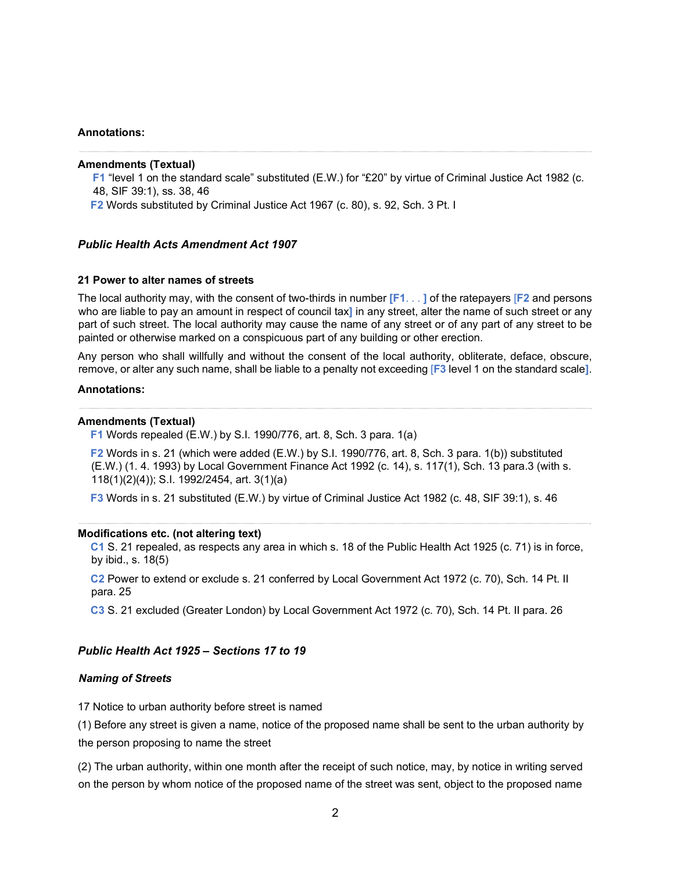#### Annotations:

#### Amendments (Textual)

F1 "level 1 on the standard scale" substituted (E.W.) for "£20" by virtue of Criminal Justice Act 1982 (c. 48, SIF 39:1), ss. 38, 46

F2 Words substituted by Criminal Justice Act 1967 (c. 80), s. 92, Sch. 3 Pt. I

#### Public Health Acts Amendment Act 1907

#### 21 Power to alter names of streets

The local authority may, with the consent of two-thirds in number [F1. . . ] of the ratepayers [F2 and persons who are liable to pay an amount in respect of council tax] in any street, alter the name of such street or any part of such street. The local authority may cause the name of any street or of any part of any street to be painted or otherwise marked on a conspicuous part of any building or other erection.

Any person who shall willfully and without the consent of the local authority, obliterate, deface, obscure, remove, or alter any such name, shall be liable to a penalty not exceeding [F3 level 1 on the standard scale].

#### Annotations:

#### Amendments (Textual)

F1 Words repealed (E.W.) by S.I. 1990/776, art. 8, Sch. 3 para. 1(a)

F2 Words in s. 21 (which were added (E.W.) by S.I. 1990/776, art. 8, Sch. 3 para. 1(b)) substituted (E.W.) (1. 4. 1993) by Local Government Finance Act 1992 (c. 14), s. 117(1), Sch. 13 para.3 (with s. 118(1)(2)(4)); S.I. 1992/2454, art. 3(1)(a)

F3 Words in s. 21 substituted (E.W.) by virtue of Criminal Justice Act 1982 (c. 48, SIF 39:1), s. 46

#### Modifications etc. (not altering text)

C1 S. 21 repealed, as respects any area in which s. 18 of the Public Health Act 1925 (c. 71) is in force, by ibid., s. 18(5)

C2 Power to extend or exclude s. 21 conferred by Local Government Act 1972 (c. 70), Sch. 14 Pt. II para. 25

C3 S. 21 excluded (Greater London) by Local Government Act 1972 (c. 70), Sch. 14 Pt. II para. 26

#### Public Health Act 1925 – Sections 17 to 19

Naming of Streets<br>17 Notice to urban authority before street is named

(1) Before any street is given a name, notice of the proposed name shall be sent to the urban authority by the person proposing to name the street

(2) The urban authority, within one month after the receipt of such notice, may, by notice in writing served on the person by whom notice of the proposed name of the street was sent, object to the proposed name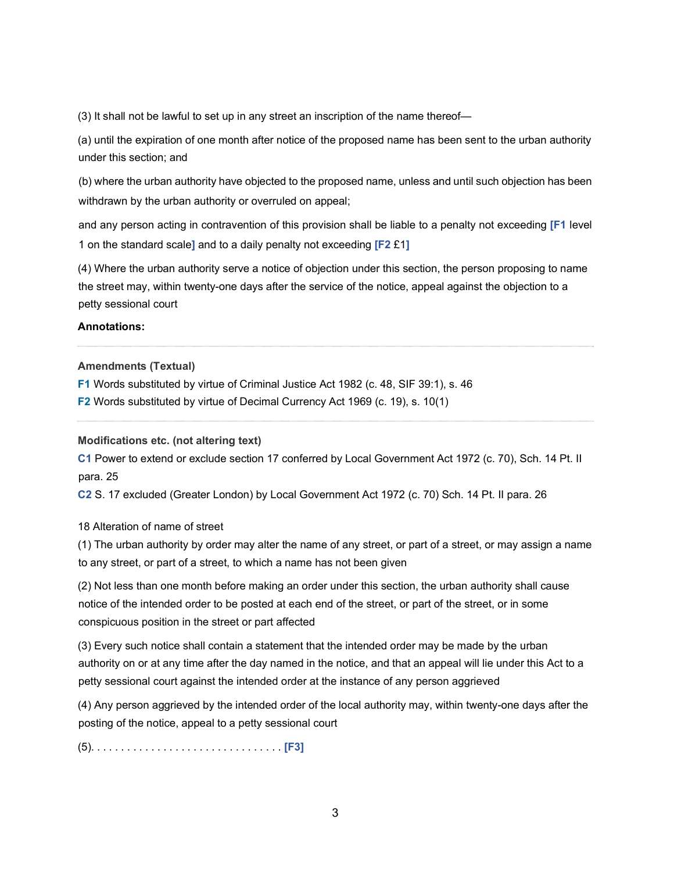(3) It shall not be lawful to set up in any street an inscription of the name thereof—

(a) until the expiration of one month after notice of the proposed name has been sent to the urban authority under this section; and

(b) where the urban authority have objected to the proposed name, unless and until such objection has been withdrawn by the urban authority or overruled on appeal;

and any person acting in contravention of this provision shall be liable to a penalty not exceeding [F1 level 1 on the standard scale] and to a daily penalty not exceeding [F2 £1]

(4) Where the urban authority serve a notice of objection under this section, the person proposing to name the street may, within twenty-one days after the service of the notice, appeal against the objection to a petty sessional court

## Annotations:

## Amendments (Textual)

F1 Words substituted by virtue of Criminal Justice Act 1982 (c. 48, SIF 39:1), s. 46

F2 Words substituted by virtue of Decimal Currency Act 1969 (c. 19), s. 10(1)

### Modifications etc. (not altering text)

C1 Power to extend or exclude section 17 conferred by Local Government Act 1972 (c. 70), Sch. 14 Pt. II para. 25

C2 S. 17 excluded (Greater London) by Local Government Act 1972 (c. 70) Sch. 14 Pt. II para. 26

## 18 Alteration of name of street

(1) The urban authority by order may alter the name of any street, or part of a street, or may assign a name to any street, or part of a street, to which a name has not been given

(2) Not less than one month before making an order under this section, the urban authority shall cause notice of the intended order to be posted at each end of the street, or part of the street, or in some conspicuous position in the street or part affected

(3) Every such notice shall contain a statement that the intended order may be made by the urban authority on or at any time after the day named in the notice, and that an appeal will lie under this Act to a petty sessional court against the intended order at the instance of any person aggrieved

(4) Any person aggrieved by the intended order of the local authority may, within twenty-one days after the posting of the notice, appeal to a petty sessional court

(5). . . . . . . . . . . . . . . . . . . . . . . . . . . . . . . . [F3]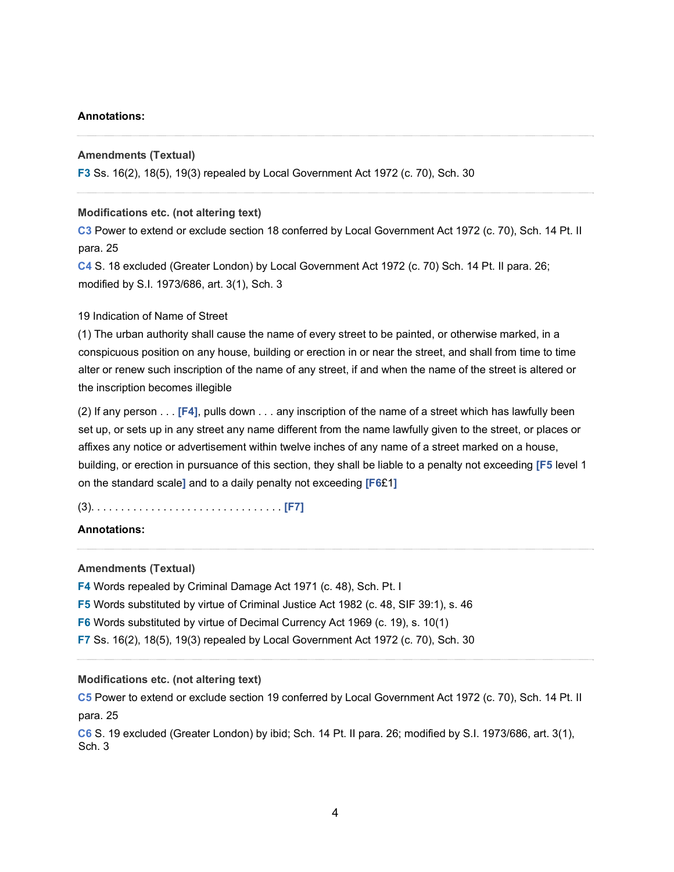### Annotations:

#### Amendments (Textual)

F3 Ss. 16(2), 18(5), 19(3) repealed by Local Government Act 1972 (c. 70), Sch. 30

#### Modifications etc. (not altering text)

C3 Power to extend or exclude section 18 conferred by Local Government Act 1972 (c. 70), Sch. 14 Pt. II para. 25

C4 S. 18 excluded (Greater London) by Local Government Act 1972 (c. 70) Sch. 14 Pt. II para. 26; modified by S.I. 1973/686, art. 3(1), Sch. 3

#### 19 Indication of Name of Street

(1) The urban authority shall cause the name of every street to be painted, or otherwise marked, in a conspicuous position on any house, building or erection in or near the street, and shall from time to time alter or renew such inscription of the name of any street, if and when the name of the street is altered or the inscription becomes illegible

(2) If any person . . . [F4], pulls down . . . any inscription of the name of a street which has lawfully been set up, or sets up in any street any name different from the name lawfully given to the street, or places or affixes any notice or advertisement within twelve inches of any name of a street marked on a house, building, or erection in pursuance of this section, they shall be liable to a penalty not exceeding [F5 level 1 on the standard scale] and to a daily penalty not exceeding [F6£1]

(3). . . . . . . . . . . . . . . . . . . . . . . . . . . . . . . . [F7]

#### Annotations:

### Amendments (Textual)

F4 Words repealed by Criminal Damage Act 1971 (c. 48), Sch. Pt. I F5 Words substituted by virtue of Criminal Justice Act 1982 (c. 48, SIF 39:1), s. 46 F6 Words substituted by virtue of Decimal Currency Act 1969 (c. 19), s. 10(1) F7 Ss. 16(2), 18(5), 19(3) repealed by Local Government Act 1972 (c. 70), Sch. 30

### Modifications etc. (not altering text)

C5 Power to extend or exclude section 19 conferred by Local Government Act 1972 (c. 70), Sch. 14 Pt. II para. 25

C6 S. 19 excluded (Greater London) by ibid; Sch. 14 Pt. II para. 26; modified by S.I. 1973/686, art. 3(1), Sch. 3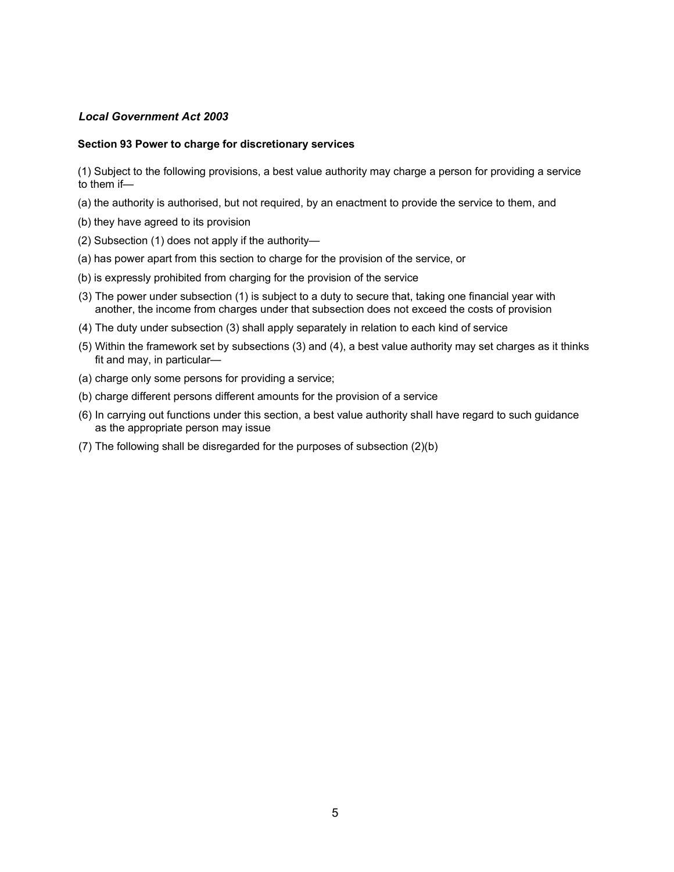## Local Government Act 2003

#### Section 93 Power to charge for discretionary services

(1) Subject to the following provisions, a best value authority may charge a person for providing a service to them if—

- (a) the authority is authorised, but not required, by an enactment to provide the service to them, and
- (b) they have agreed to its provision
- (2) Subsection (1) does not apply if the authority—
- (a) has power apart from this section to charge for the provision of the service, or
- (b) is expressly prohibited from charging for the provision of the service
- (3) The power under subsection (1) is subject to a duty to secure that, taking one financial year with another, the income from charges under that subsection does not exceed the costs of provision
- (4) The duty under subsection (3) shall apply separately in relation to each kind of service
- (5) Within the framework set by subsections (3) and (4), a best value authority may set charges as it thinks fit and may, in particular—
- (a) charge only some persons for providing a service;
- (b) charge different persons different amounts for the provision of a service
- (6) In carrying out functions under this section, a best value authority shall have regard to such guidance as the appropriate person may issue
- (7) The following shall be disregarded for the purposes of subsection (2)(b)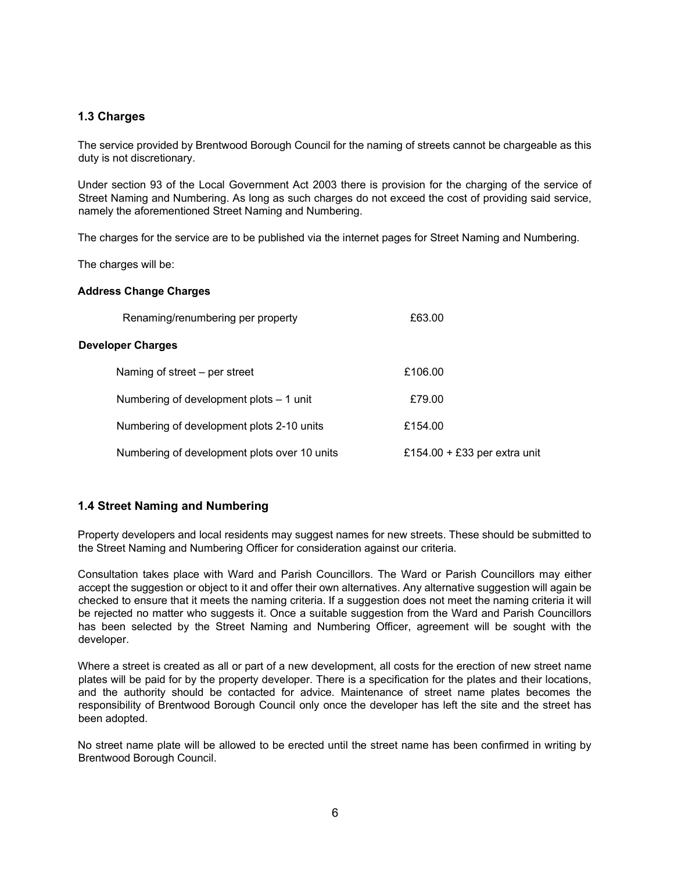## 1.3 Charges

The service provided by Brentwood Borough Council for the naming of streets cannot be chargeable as this duty is not discretionary.

Under section 93 of the Local Government Act 2003 there is provision for the charging of the service of Street Naming and Numbering. As long as such charges do not exceed the cost of providing said service, namely the aforementioned Street Naming and Numbering.

The charges for the service are to be published via the internet pages for Street Naming and Numbering.

The charges will be:

#### Address Change Charges

| Renaming/renumbering per property            | £63.00                       |
|----------------------------------------------|------------------------------|
| <b>Developer Charges</b>                     |                              |
| Naming of street – per street                | £106.00                      |
| Numbering of development plots $-1$ unit     | £79.00                       |
| Numbering of development plots 2-10 units    | £154.00                      |
| Numbering of development plots over 10 units | £154.00 + £33 per extra unit |

## 1.4 Street Naming and Numbering

Property developers and local residents may suggest names for new streets. These should be submitted to the Street Naming and Numbering Officer for consideration against our criteria.

Consultation takes place with Ward and Parish Councillors. The Ward or Parish Councillors may either accept the suggestion or object to it and offer their own alternatives. Any alternative suggestion will again be checked to ensure that it meets the naming criteria. If a suggestion does not meet the naming criteria it will be rejected no matter who suggests it. Once a suitable suggestion from the Ward and Parish Councillors has been selected by the Street Naming and Numbering Officer, agreement will be sought with the developer.

Where a street is created as all or part of a new development, all costs for the erection of new street name plates will be paid for by the property developer. There is a specification for the plates and their locations, and the authority should be contacted for advice. Maintenance of street name plates becomes the responsibility of Brentwood Borough Council only once the developer has left the site and the street has been adopted.

No street name plate will be allowed to be erected until the street name has been confirmed in writing by Brentwood Borough Council.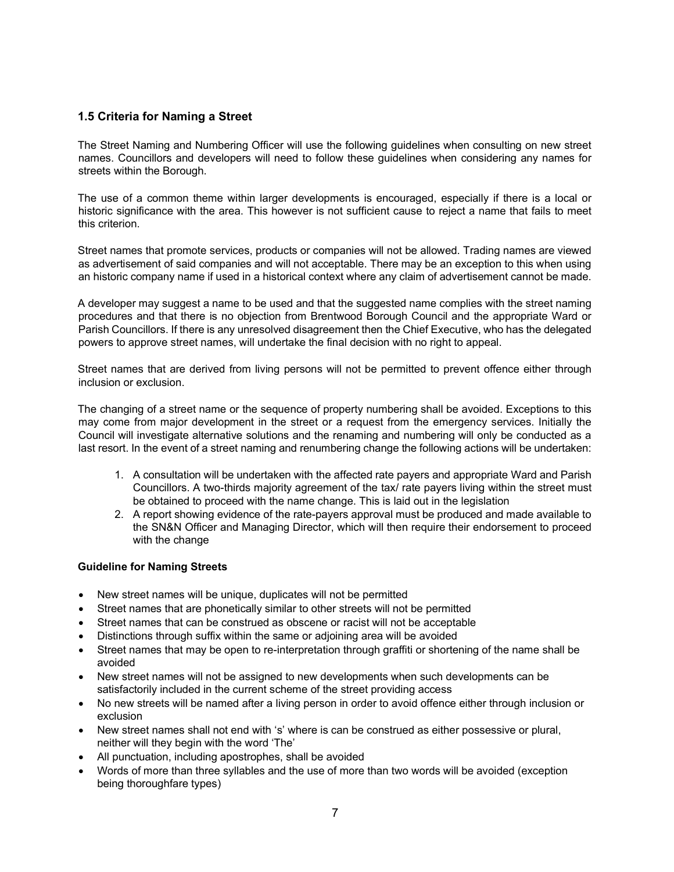## 1.5 Criteria for Naming a Street

The Street Naming and Numbering Officer will use the following guidelines when consulting on new street names. Councillors and developers will need to follow these guidelines when considering any names for streets within the Borough.

The use of a common theme within larger developments is encouraged, especially if there is a local or historic significance with the area. This however is not sufficient cause to reject a name that fails to meet this criterion.

Street names that promote services, products or companies will not be allowed. Trading names are viewed as advertisement of said companies and will not acceptable. There may be an exception to this when using an historic company name if used in a historical context where any claim of advertisement cannot be made.

A developer may suggest a name to be used and that the suggested name complies with the street naming procedures and that there is no objection from Brentwood Borough Council and the appropriate Ward or Parish Councillors. If there is any unresolved disagreement then the Chief Executive, who has the delegated powers to approve street names, will undertake the final decision with no right to appeal.

Street names that are derived from living persons will not be permitted to prevent offence either through inclusion or exclusion.

The changing of a street name or the sequence of property numbering shall be avoided. Exceptions to this may come from major development in the street or a request from the emergency services. Initially the Council will investigate alternative solutions and the renaming and numbering will only be conducted as a last resort. In the event of a street naming and renumbering change the following actions will be undertaken:

- 1. A consultation will be undertaken with the affected rate payers and appropriate Ward and Parish Councillors. A two-thirds majority agreement of the tax/ rate payers living within the street must be obtained to proceed with the name change. This is laid out in the legislation
- 2. A report showing evidence of the rate-payers approval must be produced and made available to the SN&N Officer and Managing Director, which will then require their endorsement to proceed with the change

#### Guideline for Naming Streets

- New street names will be unique, duplicates will not be permitted
- Street names that are phonetically similar to other streets will not be permitted
- Street names that can be construed as obscene or racist will not be acceptable
- Distinctions through suffix within the same or adjoining area will be avoided
- Street names that may be open to re-interpretation through graffiti or shortening of the name shall be avoided
- New street names will not be assigned to new developments when such developments can be satisfactorily included in the current scheme of the street providing access
- No new streets will be named after a living person in order to avoid offence either through inclusion or exclusion
- New street names shall not end with 's' where is can be construed as either possessive or plural, neither will they begin with the word 'The'
- All punctuation, including apostrophes, shall be avoided
- Words of more than three syllables and the use of more than two words will be avoided (exception being thoroughfare types)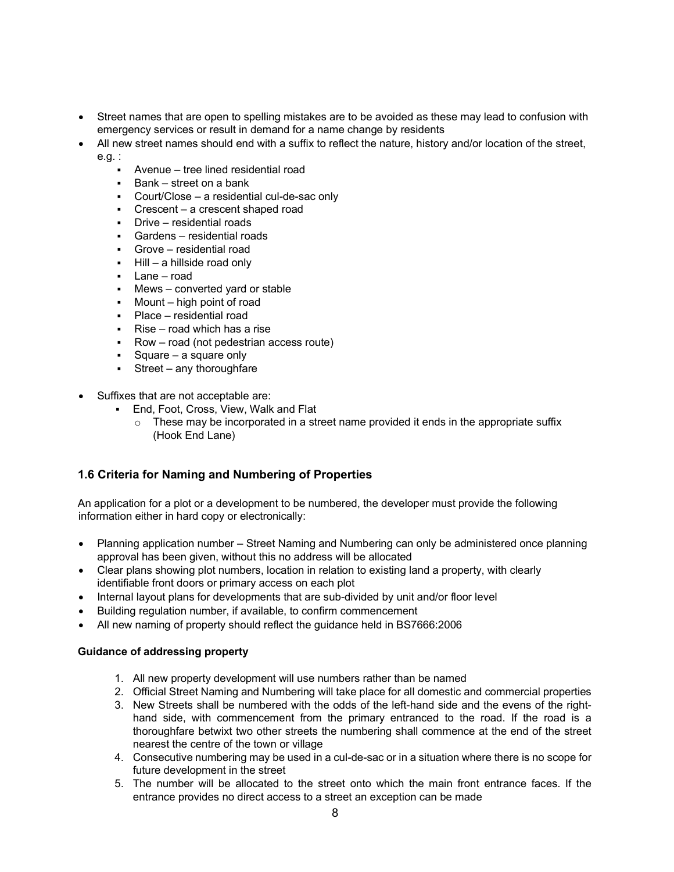- Street names that are open to spelling mistakes are to be avoided as these may lead to confusion with emergency services or result in demand for a name change by residents
- All new street names should end with a suffix to reflect the nature, history and/or location of the street, e.g. :
	- Avenue tree lined residential road
	- **Bank** street on a bank
	- Court/Close a residential cul-de-sac only
	- Crescent a crescent shaped road
	- Drive residential roads
	- Gardens residential roads
	- Grove residential road
	- Hill a hillside road only
	- Lane road
	- Mews converted yard or stable
	- Mount high point of road
	- Place residential road
	- $\blacksquare$  Rise road which has a rise
	- Row road (not pedestrian access route)
	- Square a square only
	- **•** Street any thoroughfare
- Suffixes that are not acceptable are:
	- End, Foot, Cross, View, Walk and Flat
		- $\circ$  These may be incorporated in a street name provided it ends in the appropriate suffix (Hook End Lane)

## 1.6 Criteria for Naming and Numbering of Properties

An application for a plot or a development to be numbered, the developer must provide the following information either in hard copy or electronically:

- Planning application number Street Naming and Numbering can only be administered once planning approval has been given, without this no address will be allocated
- Clear plans showing plot numbers, location in relation to existing land a property, with clearly identifiable front doors or primary access on each plot
- Internal layout plans for developments that are sub-divided by unit and/or floor level
- Building regulation number, if available, to confirm commencement
- All new naming of property should reflect the guidance held in BS7666:2006

#### Guidance of addressing property

- 1. All new property development will use numbers rather than be named
- 2. Official Street Naming and Numbering will take place for all domestic and commercial properties
- 3. New Streets shall be numbered with the odds of the left-hand side and the evens of the righthand side, with commencement from the primary entranced to the road. If the road is a thoroughfare betwixt two other streets the numbering shall commence at the end of the street nearest the centre of the town or village
- 4. Consecutive numbering may be used in a cul-de-sac or in a situation where there is no scope for future development in the street
- 5. The number will be allocated to the street onto which the main front entrance faces. If the entrance provides no direct access to a street an exception can be made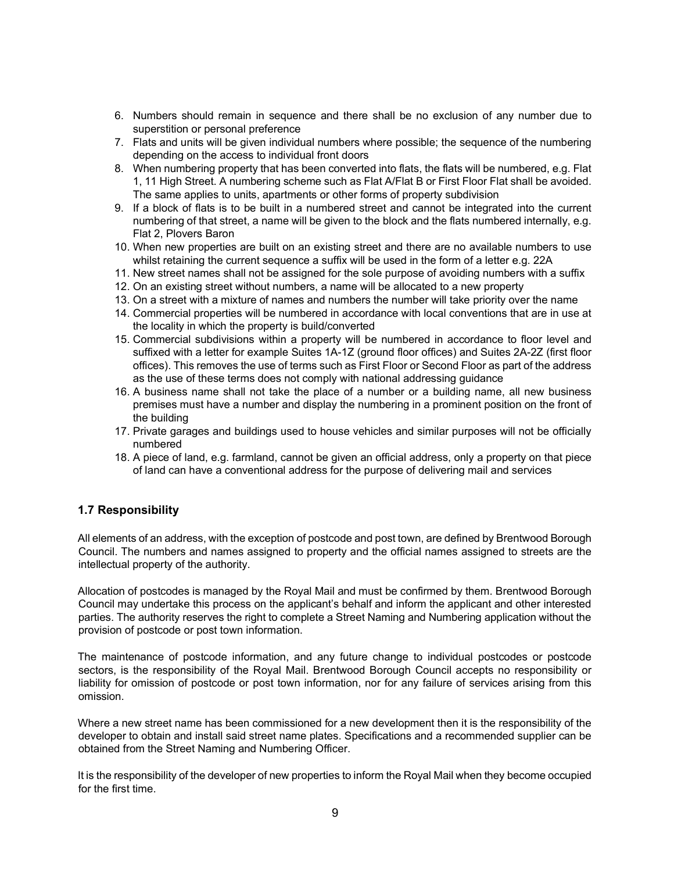- 6. Numbers should remain in sequence and there shall be no exclusion of any number due to superstition or personal preference
- 7. Flats and units will be given individual numbers where possible; the sequence of the numbering depending on the access to individual front doors
- 8. When numbering property that has been converted into flats, the flats will be numbered, e.g. Flat 1, 11 High Street. A numbering scheme such as Flat A/Flat B or First Floor Flat shall be avoided. The same applies to units, apartments or other forms of property subdivision
- 9. If a block of flats is to be built in a numbered street and cannot be integrated into the current numbering of that street, a name will be given to the block and the flats numbered internally, e.g. Flat 2, Plovers Baron
- 10. When new properties are built on an existing street and there are no available numbers to use whilst retaining the current sequence a suffix will be used in the form of a letter e.g. 22A
- 11. New street names shall not be assigned for the sole purpose of avoiding numbers with a suffix
- 12. On an existing street without numbers, a name will be allocated to a new property
- 13. On a street with a mixture of names and numbers the number will take priority over the name
- 14. Commercial properties will be numbered in accordance with local conventions that are in use at the locality in which the property is build/converted
- 15. Commercial subdivisions within a property will be numbered in accordance to floor level and suffixed with a letter for example Suites 1A-1Z (ground floor offices) and Suites 2A-2Z (first floor offices). This removes the use of terms such as First Floor or Second Floor as part of the address as the use of these terms does not comply with national addressing guidance
- 16. A business name shall not take the place of a number or a building name, all new business premises must have a number and display the numbering in a prominent position on the front of the building
- 17. Private garages and buildings used to house vehicles and similar purposes will not be officially numbered
- 18. A piece of land, e.g. farmland, cannot be given an official address, only a property on that piece of land can have a conventional address for the purpose of delivering mail and services

## 1.7 Responsibility

All elements of an address, with the exception of postcode and post town, are defined by Brentwood Borough Council. The numbers and names assigned to property and the official names assigned to streets are the intellectual property of the authority.

Allocation of postcodes is managed by the Royal Mail and must be confirmed by them. Brentwood Borough Council may undertake this process on the applicant's behalf and inform the applicant and other interested parties. The authority reserves the right to complete a Street Naming and Numbering application without the provision of postcode or post town information.

The maintenance of postcode information, and any future change to individual postcodes or postcode sectors, is the responsibility of the Royal Mail. Brentwood Borough Council accepts no responsibility or liability for omission of postcode or post town information, nor for any failure of services arising from this omission.

Where a new street name has been commissioned for a new development then it is the responsibility of the developer to obtain and install said street name plates. Specifications and a recommended supplier can be obtained from the Street Naming and Numbering Officer.

It is the responsibility of the developer of new properties to inform the Royal Mail when they become occupied for the first time.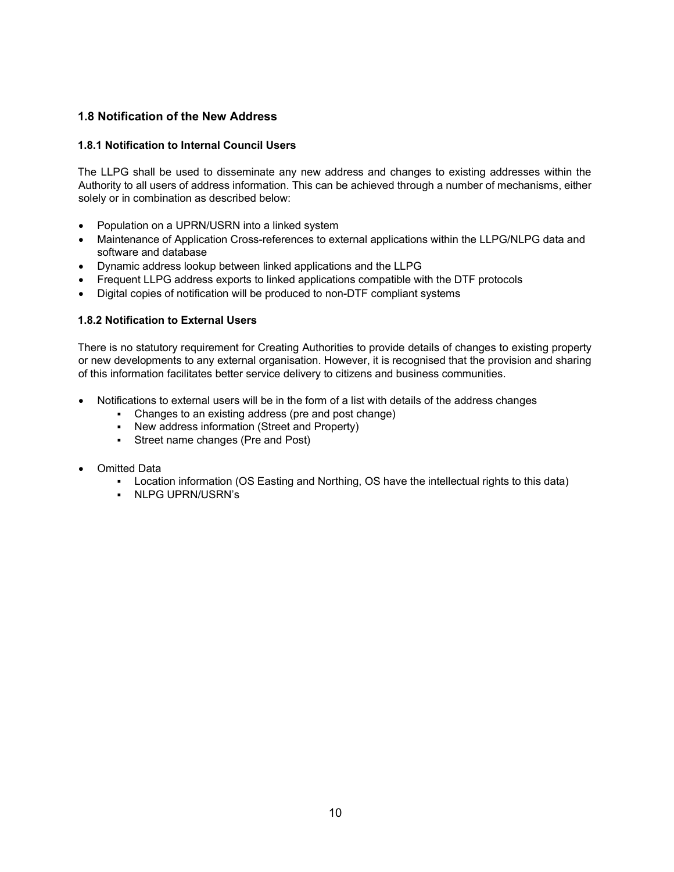## 1.8 Notification of the New Address

## 1.8.1 Notification to Internal Council Users

The LLPG shall be used to disseminate any new address and changes to existing addresses within the Authority to all users of address information. This can be achieved through a number of mechanisms, either solely or in combination as described below:

- Population on a UPRN/USRN into a linked system
- Maintenance of Application Cross-references to external applications within the LLPG/NLPG data and software and database
- Dynamic address lookup between linked applications and the LLPG
- Frequent LLPG address exports to linked applications compatible with the DTF protocols
- Digital copies of notification will be produced to non-DTF compliant systems

## 1.8.2 Notification to External Users

There is no statutory requirement for Creating Authorities to provide details of changes to existing property or new developments to any external organisation. However, it is recognised that the provision and sharing of this information facilitates better service delivery to citizens and business communities.

- Notifications to external users will be in the form of a list with details of the address changes
	- Changes to an existing address (pre and post change)<br>■ New address information (Street and Property)
		- New address information (Street and Property)
	- Street name changes (Pre and Post)
- Omitted Data
	- Location information (OS Easting and Northing, OS have the intellectual rights to this data)
	- NLPG UPRN/USRN's